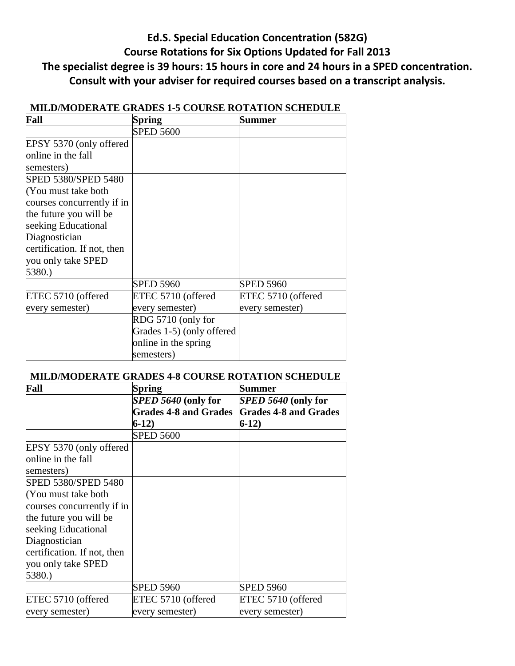# **Ed.S. Special Education Concentration (582G) Course Rotations for Six Options Updated for Fall 2013 The specialist degree is 39 hours: 15 hours in core and 24 hours in a SPED concentration. Consult with your adviser for required courses based on a transcript analysis.**

| Fall                        | Spring                    | <b>Summer</b>      |
|-----------------------------|---------------------------|--------------------|
|                             | <b>SPED 5600</b>          |                    |
| EPSY 5370 (only offered     |                           |                    |
| online in the fall          |                           |                    |
| semesters)                  |                           |                    |
| SPED 5380/SPED 5480         |                           |                    |
| (You must take both         |                           |                    |
| courses concurrently if in  |                           |                    |
| the future you will be      |                           |                    |
| seeking Educational         |                           |                    |
| Diagnostician               |                           |                    |
| certification. If not, then |                           |                    |
| you only take SPED          |                           |                    |
| 5380.)                      |                           |                    |
|                             | <b>SPED 5960</b>          | <b>SPED 5960</b>   |
| ETEC 5710 (offered          | ETEC 5710 (offered        | ETEC 5710 (offered |
| every semester)             | every semester)           | every semester)    |
|                             | RDG 5710 (only for        |                    |
|                             | Grades 1-5) (only offered |                    |
|                             | online in the spring      |                    |
|                             | semesters)                |                    |

## **MILD/MODERATE GRADES 1-5 COURSE ROTATION SCHEDULE**

#### **MILD/MODERATE GRADES 4-8 COURSE ROTATION SCHEDULE**

| Fall                        | Spring                       | Summer                       |
|-----------------------------|------------------------------|------------------------------|
|                             | SPED 5640 (only for          | <i>SPED 5640</i> (only for   |
|                             | <b>Grades 4-8 and Grades</b> | <b>Grades 4-8 and Grades</b> |
|                             | $6-12)$                      | $6-12)$                      |
|                             | <b>SPED 5600</b>             |                              |
| EPSY 5370 (only offered     |                              |                              |
| online in the fall          |                              |                              |
| semesters)                  |                              |                              |
| SPED 5380/SPED 5480         |                              |                              |
| (You must take both         |                              |                              |
| courses concurrently if in  |                              |                              |
| the future you will be      |                              |                              |
| seeking Educational         |                              |                              |
| Diagnostician               |                              |                              |
| certification. If not, then |                              |                              |
| you only take SPED          |                              |                              |
| 5380.)                      |                              |                              |
|                             | <b>SPED 5960</b>             | <b>SPED 5960</b>             |
| ETEC 5710 (offered          | ETEC 5710 (offered           | ETEC 5710 (offered           |
| every semester)             | every semester)              | every semester)              |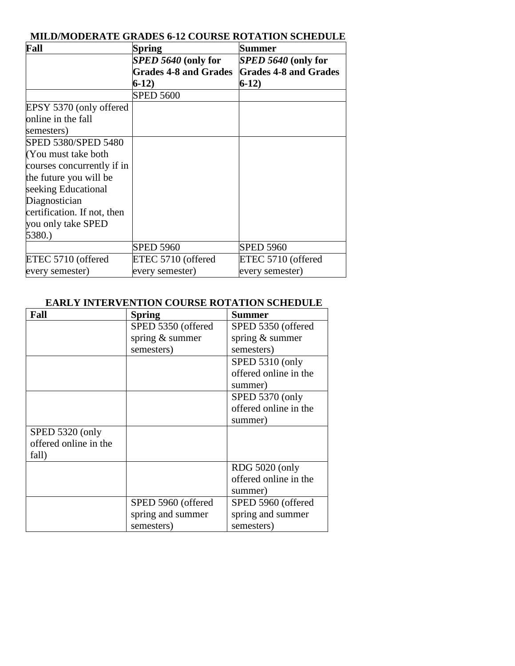| <b>MILD/MODERATE GRADES 6-12 COURSE ROTATION SCHEDULE</b> |  |
|-----------------------------------------------------------|--|
|-----------------------------------------------------------|--|

| Fall                        | Spring                       | <b>Summer</b>                |
|-----------------------------|------------------------------|------------------------------|
|                             | SPED 5640 (only for          | SPED 5640 (only for          |
|                             | <b>Grades 4-8 and Grades</b> | <b>Grades 4-8 and Grades</b> |
|                             | $6-12)$                      | $6-12)$                      |
|                             | <b>SPED 5600</b>             |                              |
| EPSY 5370 (only offered     |                              |                              |
| online in the fall          |                              |                              |
| semesters)                  |                              |                              |
| SPED 5380/SPED 5480         |                              |                              |
| (You must take both         |                              |                              |
| courses concurrently if in  |                              |                              |
| the future you will be      |                              |                              |
| seeking Educational         |                              |                              |
| Diagnostician               |                              |                              |
| certification. If not, then |                              |                              |
| you only take SPED          |                              |                              |
| 5380.)                      |                              |                              |
|                             | <b>SPED 5960</b>             | <b>SPED 5960</b>             |
| ETEC 5710 (offered          | ETEC 5710 (offered           | ETEC 5710 (offered           |
| every semester)             | every semester)              | every semester)              |

### **EARLY INTERVENTION COURSE ROTATION SCHEDULE**

| Fall                  | <b>Spring</b>      | Summer                |
|-----------------------|--------------------|-----------------------|
|                       | SPED 5350 (offered | SPED 5350 (offered    |
|                       | spring & summer    | spring & summer       |
|                       | semesters)         | semesters)            |
|                       |                    | SPED 5310 (only       |
|                       |                    | offered online in the |
|                       |                    | summer)               |
|                       |                    | SPED 5370 (only       |
|                       |                    | offered online in the |
|                       |                    | summer)               |
| SPED 5320 (only       |                    |                       |
| offered online in the |                    |                       |
| fall)                 |                    |                       |
|                       |                    | <b>RDG 5020 (only</b> |
|                       |                    | offered online in the |
|                       |                    | summer)               |
|                       | SPED 5960 (offered | SPED 5960 (offered    |
|                       | spring and summer  | spring and summer     |
|                       | semesters)         | semesters)            |